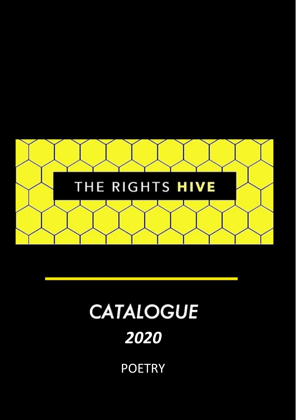

# **CATALOGUE**

# *2020*

**POETRY**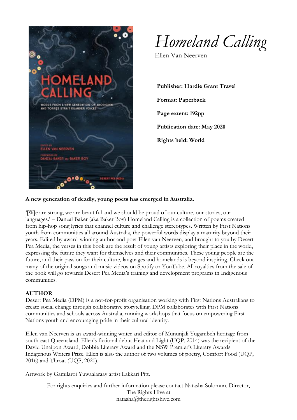

*Homeland Calling*

Ellen Van Neerven

**Publisher: Hardie Grant Travel Format: Paperback Page extent: 192pp Publication date: May 2020 Rights held: World**

#### **A new generation of deadly, young poets has emerged in Australia.**

'[W]e are strong, we are beautiful and we should be proud of our culture, our stories, our languages.' – Danzal Baker (aka Baker Boy) Homeland Calling is a collection of poems created from hip-hop song lyrics that channel culture and challenge stereotypes. Written by First Nations youth from communities all around Australia, the powerful words display a maturity beyond their years. Edited by award-winning author and poet Ellen van Neerven, and brought to you by Desert Pea Media, the verses in this book are the result of young artists exploring their place in the world, expressing the future they want for themselves and their communities. These young people are the future, and their passion for their culture, languages and homelands is beyond inspiring. Check out many of the original songs and music videos on Spotify or YouTube. All royalties from the sale of the book will go towards Desert Pea Media's training and development programs in Indigenous communities.

#### **AUTHOR**

Desert Pea Media (DPM) is a not-for-profit organisation working with First Nations Australians to create social change through collaborative storytelling. DPM collaborates with First Nations communities and schools across Australia, running workshops that focus on empowering First Nations youth and encouraging pride in their cultural identity.

Ellen van Neerven is an award-winning writer and editor of Mununjali Yugambeh heritage from south-east Queensland. Ellen's fictional debut Heat and Light (UQP, 2014) was the recipient of the David Unaipon Award, Dobbie Literary Award and the NSW Premier's Literary Awards Indigenous Writers Prize. Ellen is also the author of two volumes of poetry, Comfort Food (UQP, 2016) and Throat (UQP, 2020).

Artwork by Gamilaroi Yuwaalaraay artist Lakkari Pitt.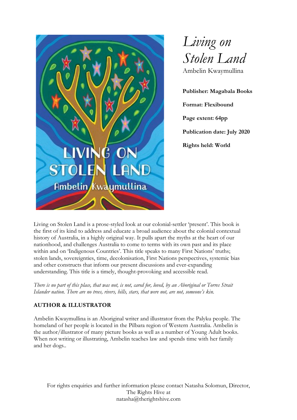



**Publisher: Magabala Books Format: Flexibound Page extent: 64pp Publication date: July 2020 Rights held: World**

Living on Stolen Land is a prose-styled look at our colonial-settler 'present'. This book is the first of its kind to address and educate a broad audience about the colonial contextual history of Australia, in a highly original way. It pulls apart the myths at the heart of our nationhood, and challenges Australia to come to terms with its own past and its place within and on 'Indigenous Countries'. This title speaks to many First Nations' truths; stolen lands, sovereignties, time, decolonisation, First Nations perspectives, systemic bias and other constructs that inform our present discussions and ever-expanding understanding. This title is a timely, thought-provoking and accessible read.

*There is no part of this place, that was not, is not, cared for, loved, by an Aboriginal or Torres Strait Islander nation. There are no trees, rivers, hills, stars, that were not, are not, someone's kin.*

## **AUTHOR & ILLUSTRATOR**

Ambelin Kwaymullina is an Aboriginal writer and illustrator from the Palyku people. The homeland of her people is located in the Pilbara region of Western Australia. Ambelin is the author/illustrator of many picture books as well as a number of Young Adult books. When not writing or illustrating, Ambelin teaches law and spends time with her family and her dogs..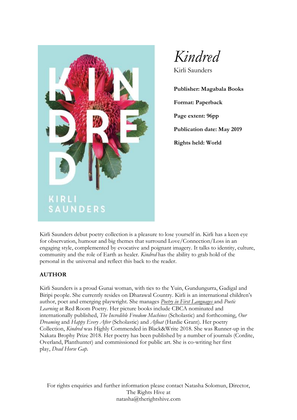

*Kindred*

Kirli Saunders

**Publisher: Magabala Books Format: Paperback Page extent: 96pp Publication date: May 2019 Rights held: World**

Kirli Saunders debut poetry collection is a pleasure to lose yourself in. Kirli has a keen eye for observation, humour and big themes that surround Love/Connection/Loss in an engaging style, complemented by evocative and poignant imagery. It talks to identity, culture, community and the role of Earth as healer. *Kindred* has the ability to grab hold of the personal in the universal and reflect this back to the reader.

#### **AUTHOR**

Kirli Saunders is a proud Gunai woman, with ties to the Yuin, Gundungurra, Gadigal and Biripi people. She currently resides on Dharawal Country. Kirli is an international children's author, poet and emerging playwright. She manages *Poetry in First [Languages](https://redroomcompany.org/projects/poetry-first-languages/)* and *Poetic Learning* at Red Room Poetry. Her picture books include CBCA nominated and internationally published, *The Incredible Freedom Machines* (Scholastic) and forthcoming, *Our Dreaming* and *Happy Every After* (Scholastic) and *Afloat* (Hardie Grant). Her poetry Collection, *Kindred* was Highly Commended in Black&Write 2018. She was Runner-up in the Nakata Brophy Prize 2018. Her poetry has been published by a number of journals (Cordite, Overland, Planthunter) and commissioned for public art. She is co-writing her first play, *Dead Horse Gap.*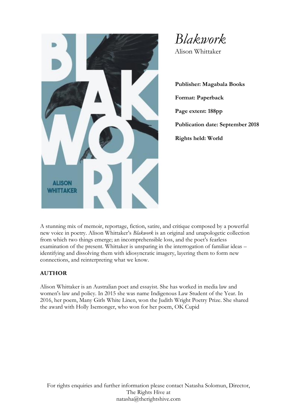

*Blakwork*

Alison Whittaker

**Publisher: Magabala Books Format: Paperback Page extent: 188pp Publication date: September 2018 Rights held: World**

A stunning mix of memoir, reportage, fiction, satire, and critique composed by a powerful new voice in poetry. Alison Whittaker's *Blakwork* is an original and unapologetic collection from which two things emerge; an incomprehensible loss, and the poet's fearless examination of the present. Whittaker is unsparing in the interrogation of familiar ideas – identifying and dissolving them with idiosyncratic imagery, layering them to form new connections, and reinterpreting what we know.

#### **AUTHOR**

Alison Whittaker is an Australian poet and essayist. She has worked in media law and women's law and policy. In 2015 she was name Indigenous Law Student of the Year. In 2016, her poem, Many Girls White Linen, won the Judith Wright Poetry Prize. She shared the award with Holly Isemonger, who won for her poem, OK Cupid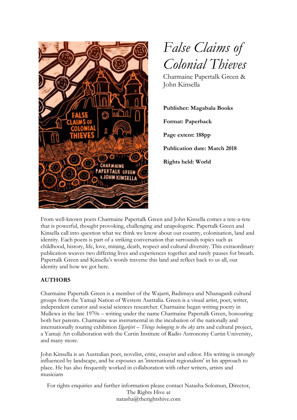



Charmaine Papertalk Green & John Kinsella

**Publisher: Magabala Books Format: Paperback Page extent: 188pp Publication date: March 2018 Rights held: World**

From well-known poets Charmaine Papertalk Green and John Kinsella comes a tete-a-tete that is powerful, thought provoking, challenging and unapologetic. Papertalk Green and Kinsella call into question what we think we know about our country, colonisation, land and identity. Each poem is part of a striking conversation that surrounds topics such as childhood, history, life, love, mining, death, respect and cultural diversity. This extraordinary publication weaves two differing lives and experiences together and rarely pauses for breath. Papertalk Green and Kinsella's words traverse this land and reflect back to us all, our identity and how we got here.

## **AUTHORS**

Charmaine Papertalk Green is a member of the Wajarri, Badimaya and Nhanagardi cultural groups from the Yamaji Nation of Western Australia. Green is a visual artist, poet, writer, independent curator and social sciences researcher. Charmaine began writing poetry in Mullewa in the late 1970s – writing under the name Charmaine Papertalk Green, honouring both her parents. Charmaine was instrumental in the incubation of the nationally and internationally touring exhibition *Ilgarijiri – Things belonging to the sky* arts and cultural project, a Yamaji Art collaboration with the Curtin Institute of Radio Astronomy Curtin University, and many more.

John Kinsella is an Australian poet, novelist, critic, essayist and editor. His writing is strongly influenced by landscape, and he espouses an 'international regionalism' in his approach to place. He has also frequently worked in collaboration with other writers, artists and musicians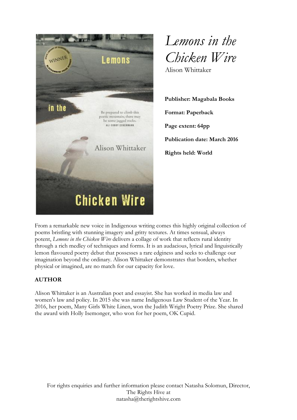

*Lemons in the Chicken Wire* Alison Whittaker

**Publisher: Magabala Books Format: Paperback Page extent: 64pp Publication date: March 2016 Rights held: World**

From a remarkable new voice in Indigenous writing comes this highly original collection of poems bristling with stunning imagery and gritty textures. At times sensual, always potent, *Lemons in the Chicken Wire* delivers a collage of work that reflects rural identity through a rich medley of techniques and forms. It is an audacious, lyrical and linguistically lemon flavoured poetry debut that possesses a rare edginess and seeks to challenge our imagination beyond the ordinary. Alison Whittaker demonstrates that borders, whether physical or imagined, are no match for our capacity for love.

## **AUTHOR**

Alison Whittaker is an Australian poet and essayist. She has worked in media law and women's law and policy. In 2015 she was name Indigenous Law Student of the Year. In 2016, her poem, Many Girls White Linen, won the Judith Wright Poetry Prize. She shared the award with Holly Isemonger, who won for her poem, OK Cupid.